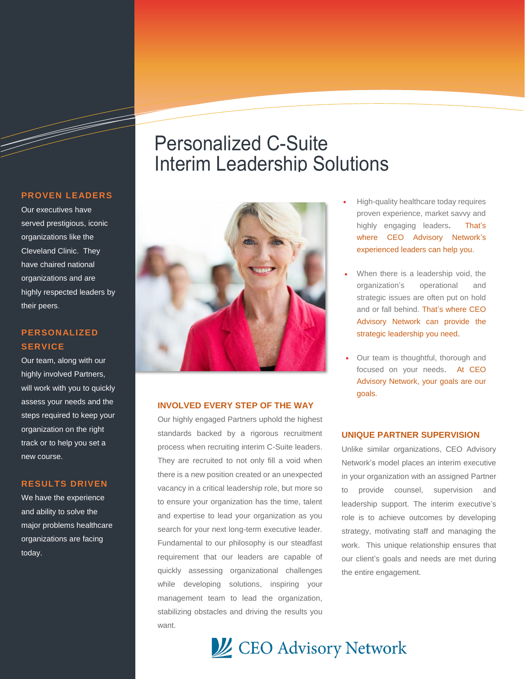#### **PROVEN LEADERS**

a de destinado de destinado de destinado de destinado de destinado de destinado de destinado de destinado de d

Our executives have served prestigious, iconic organizations like the Cleveland Clinic. They have chaired national organizations and are highly respected leaders by their peers.

### **PERSONALIZED SERVICE**

Our team, along with our highly involved Partners, will work with you to quickly assess your needs and the steps required to keep your organization on the right track or to help you set a new course.

#### **RESULTS DRIVEN**

We have the experience and ability to solve the major problems healthcare organizations are facing today.

## Personalized C-Suite Interim Leadership Solutions



#### **INVOLVED EVERY STEP OF THE WAY**

Our highly engaged Partners uphold the highest standards backed by a rigorous recruitment process when recruiting interim C-Suite leaders. They are recruited to not only fill a void when there is a new position created or an unexpected vacancy in a critical leadership role, but more so to ensure your organization has the time, talent and expertise to lead your organization as you search for your next long-term executive leader. Fundamental to our philosophy is our steadfast requirement that our leaders are capable of quickly assessing organizational challenges while developing solutions, inspiring your management team to lead the organization, stabilizing obstacles and driving the results you want.

- High-quality healthcare today requires proven experience, market savvy and highly engaging leaders**.** That's where CEO Advisory Network's experienced leaders can help you.
- When there is a leadership void, the organization's operational and strategic issues are often put on hold and or fall behind. That's where CEO Advisory Network can provide the strategic leadership you need.
- Our team is thoughtful, thorough and focused on your needs. At CEO Advisory Network, your goals are our goals.

#### **UNIQUE PARTNER SUPERVISION**

Unlike similar organizations, CEO Advisory Network's model places an interim executive in your organization with an assigned Partner to provide counsel, supervision and leadership support. The interim executive's role is to achieve outcomes by developing strategy, motivating staff and managing the work. This unique relationship ensures that our client's goals and needs are met during the entire engagement.